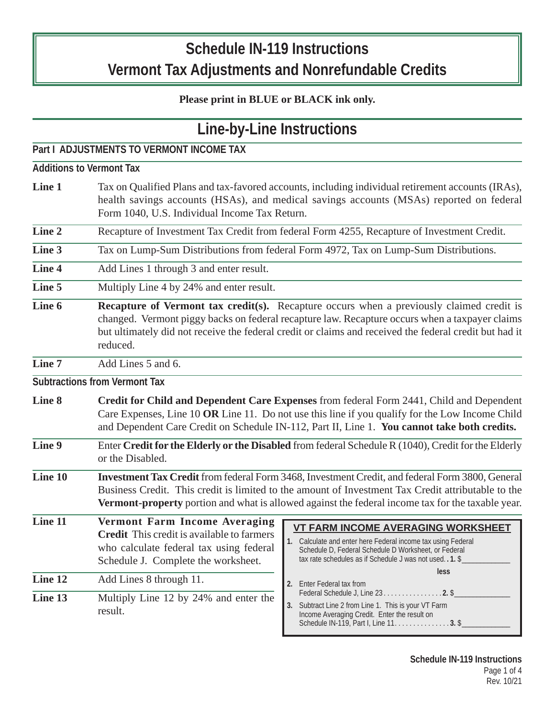# **Schedule IN-119 Instructions Vermont Tax Adjustments and Nonrefundable Credits**

## **Please print in BLUE or BLACK ink only.**

| Line-by-Line Instructions<br>Part I ADJUSTMENTS TO VERMONT INCOME TAX |                                                                                                                                                                                                                                                                                                                         |                                                                                                                                                                                                                                        |
|-----------------------------------------------------------------------|-------------------------------------------------------------------------------------------------------------------------------------------------------------------------------------------------------------------------------------------------------------------------------------------------------------------------|----------------------------------------------------------------------------------------------------------------------------------------------------------------------------------------------------------------------------------------|
|                                                                       |                                                                                                                                                                                                                                                                                                                         |                                                                                                                                                                                                                                        |
| Line 1                                                                | Tax on Qualified Plans and tax-favored accounts, including individual retirement accounts (IRAs),<br>health savings accounts (HSAs), and medical savings accounts (MSAs) reported on federal<br>Form 1040, U.S. Individual Income Tax Return.                                                                           |                                                                                                                                                                                                                                        |
| Line 2                                                                | Recapture of Investment Tax Credit from federal Form 4255, Recapture of Investment Credit.                                                                                                                                                                                                                              |                                                                                                                                                                                                                                        |
| Line 3                                                                | Tax on Lump-Sum Distributions from federal Form 4972, Tax on Lump-Sum Distributions.                                                                                                                                                                                                                                    |                                                                                                                                                                                                                                        |
| Line 4                                                                | Add Lines 1 through 3 and enter result.                                                                                                                                                                                                                                                                                 |                                                                                                                                                                                                                                        |
| Line 5                                                                | Multiply Line 4 by 24% and enter result.                                                                                                                                                                                                                                                                                |                                                                                                                                                                                                                                        |
| Line 6                                                                | <b>Recapture of Vermont tax credit(s).</b> Recapture occurs when a previously claimed credit is<br>changed. Vermont piggy backs on federal recapture law. Recapture occurs when a taxpayer claims<br>but ultimately did not receive the federal credit or claims and received the federal credit but had it<br>reduced. |                                                                                                                                                                                                                                        |
| Line 7                                                                | Add Lines 5 and 6.                                                                                                                                                                                                                                                                                                      |                                                                                                                                                                                                                                        |
|                                                                       | <b>Subtractions from Vermont Tax</b>                                                                                                                                                                                                                                                                                    |                                                                                                                                                                                                                                        |
| Line 8                                                                | Credit for Child and Dependent Care Expenses from federal Form 2441, Child and Dependent<br>Care Expenses, Line 10 OR Line 11. Do not use this line if you qualify for the Low Income Child<br>and Dependent Care Credit on Schedule IN-112, Part II, Line 1. You cannot take both credits.                             |                                                                                                                                                                                                                                        |
| Line 9                                                                | Enter Credit for the Elderly or the Disabled from federal Schedule R (1040), Credit for the Elderly<br>or the Disabled.                                                                                                                                                                                                 |                                                                                                                                                                                                                                        |
| $\overline{\text{Line} 10}$                                           | Investment Tax Credit from federal Form 3468, Investment Credit, and federal Form 3800, General<br>Business Credit. This credit is limited to the amount of Investment Tax Credit attributable to the<br>Vermont-property portion and what is allowed against the federal income tax for the taxable year.              |                                                                                                                                                                                                                                        |
| Line 11                                                               | <b>Vermont Farm Income Averaging</b><br><b>Credit</b> This credit is available to farmers<br>who calculate federal tax using federal<br>Schedule J. Complete the worksheet.                                                                                                                                             | <b>VT FARM INCOME AVERAGING WORKSHEET</b><br>1. Calculate and enter here Federal income tax using Federal<br>Schedule D, Federal Schedule D Worksheet, or Federal<br>tax rate schedules as if Schedule J was not used. . 1. \$<br>less |
| Line 12<br>Line 13                                                    | Add Lines 8 through 11.<br>Multiply Line 12 by 24% and enter the<br>result.                                                                                                                                                                                                                                             | 2. Enter Federal tax from<br>Federal Schedule J, Line 23. 2. \$<br>3. Subtract Line 2 from Line 1. This is your VT Farm<br>Income Averaging Credit. Enter the result on<br>Schedule IN-119, Part I, Line 11. 3. \$                     |

**Schedule IN-119 Instructions** Page 1 of 4 Rev. 10/21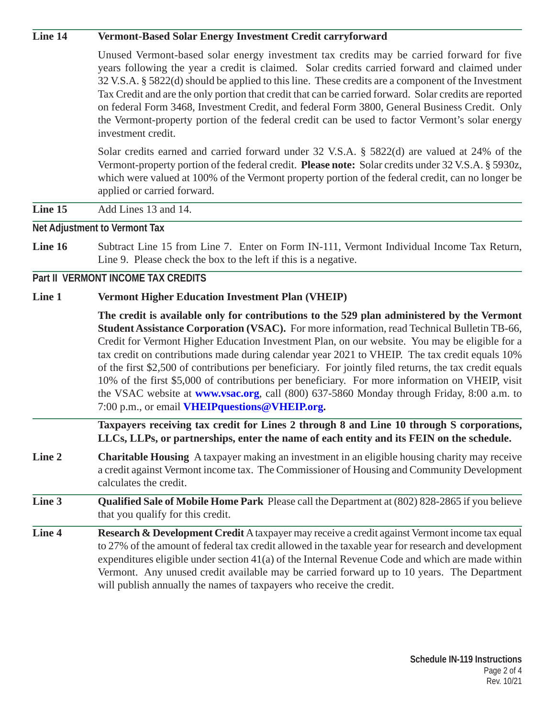#### **Line 14 Vermont-Based Solar Energy Investment Credit carryforward**

Unused Vermont-based solar energy investment tax credits may be carried forward for five years following the year a credit is claimed. Solar credits carried forward and claimed under 32 V.S.A. § 5822(d) should be applied to this line. These credits are a component of the Investment Tax Credit and are the only portion that credit that can be carried forward. Solar credits are reported on federal Form 3468, Investment Credit, and federal Form 3800, General Business Credit. Only the Vermont-property portion of the federal credit can be used to factor Vermont's solar energy investment credit.

Solar credits earned and carried forward under 32 V.S.A. § 5822(d) are valued at 24% of the Vermont-property portion of the federal credit. **Please note:** Solar credits under 32 V.S.A. § 5930z, which were valued at 100% of the Vermont property portion of the federal credit, can no longer be applied or carried forward.

**Line 15** Add Lines 13 and 14.

**Net Adjustment to Vermont Tax**

**Line 16** Subtract Line 15 from Line 7. Enter on Form IN-111, Vermont Individual Income Tax Return, Line 9. Please check the box to the left if this is a negative.

#### **Part II VERMONT INCOME TAX CREDITS**

#### **Line 1 Vermont Higher Education Investment Plan (VHEIP)**

**The credit is available only for contributions to the 529 plan administered by the Vermont Student Assistance Corporation (VSAC).** For more information, read Technical Bulletin TB-66, Credit for Vermont Higher Education Investment Plan, on our website. You may be eligible for a tax credit on contributions made during calendar year 2021 to VHEIP. The tax credit equals 10% of the first \$2,500 of contributions per beneficiary. For jointly filed returns, the tax credit equals 10% of the first \$5,000 of contributions per beneficiary. For more information on VHEIP, visit the VSAC website at **www.vsac.org**, call (800) 637-5860 Monday through Friday, 8:00 a.m. to 7:00 p.m., or email **VHEIPquestions@VHEIP.org.**

**Taxpayers receiving tax credit for Lines 2 through 8 and Line 10 through S corporations, LLCs, LLPs, or partnerships, enter the name of each entity and its FEIN on the schedule.**

- **Line 2 Charitable Housing** A taxpayer making an investment in an eligible housing charity may receive a credit against Vermont income tax. The Commissioner of Housing and Community Development calculates the credit.
- **Line 3 Qualified Sale of Mobile Home Park** Please call the Department at (802) 828-2865 if you believe that you qualify for this credit.
- **Line 4 Research & Development Credit** A taxpayer may receive a credit against Vermont income tax equal to 27% of the amount of federal tax credit allowed in the taxable year for research and development expenditures eligible under section 41(a) of the Internal Revenue Code and which are made within Vermont. Any unused credit available may be carried forward up to 10 years. The Department will publish annually the names of taxpayers who receive the credit.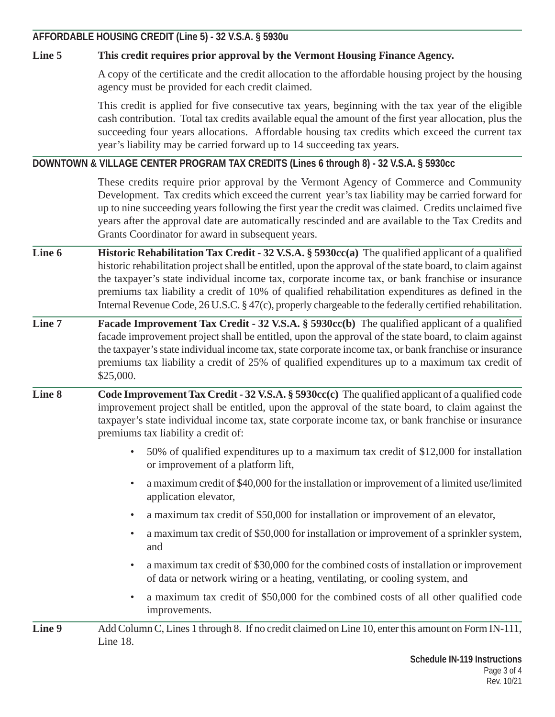**AFFORDABLE HOUSING CREDIT (Line 5) - 32 V.S.A. § 5930u** 

### **Line 5 This credit requires prior approval by the Vermont Housing Finance Agency.**

A copy of the certificate and the credit allocation to the affordable housing project by the housing agency must be provided for each credit claimed.

This credit is applied for five consecutive tax years, beginning with the tax year of the eligible cash contribution. Total tax credits available equal the amount of the first year allocation, plus the succeeding four years allocations. Affordable housing tax credits which exceed the current tax year's liability may be carried forward up to 14 succeeding tax years.

**DOWNTOWN & VILLAGE CENTER PROGRAM TAX CREDITS (Lines 6 through 8) - 32 V.S.A. § 5930cc**

These credits require prior approval by the Vermont Agency of Commerce and Community Development. Tax credits which exceed the current year's tax liability may be carried forward for up to nine succeeding years following the first year the credit was claimed. Credits unclaimed five years after the approval date are automatically rescinded and are available to the Tax Credits and Grants Coordinator for award in subsequent years.

- **Line 6 Historic Rehabilitation Tax Credit 32 V.S.A. § 5930cc(a)** The qualified applicant of a qualified historic rehabilitation project shall be entitled, upon the approval of the state board, to claim against the taxpayer's state individual income tax, corporate income tax, or bank franchise or insurance premiums tax liability a credit of 10% of qualified rehabilitation expenditures as defined in the Internal Revenue Code, 26 U.S.C. § 47(c), properly chargeable to the federally certified rehabilitation.
- **Line 7 Facade Improvement Tax Credit 32 V.S.A. § 5930cc(b)** The qualified applicant of a qualified facade improvement project shall be entitled, upon the approval of the state board, to claim against the taxpayer's state individual income tax, state corporate income tax, or bank franchise or insurance premiums tax liability a credit of 25% of qualified expenditures up to a maximum tax credit of \$25,000.
- **Line 8 Code Improvement Tax Credit 32 V.S.A. § 5930cc(c)** The qualified applicant of a qualified code improvement project shall be entitled, upon the approval of the state board, to claim against the taxpayer's state individual income tax, state corporate income tax, or bank franchise or insurance premiums tax liability a credit of:
	- 50% of qualified expenditures up to a maximum tax credit of \$12,000 for installation or improvement of a platform lift,
	- a maximum credit of \$40,000 for the installation or improvement of a limited use/limited application elevator,
	- a maximum tax credit of \$50,000 for installation or improvement of an elevator,
	- a maximum tax credit of \$50,000 for installation or improvement of a sprinkler system, and
	- a maximum tax credit of \$30,000 for the combined costs of installation or improvement of data or network wiring or a heating, ventilating, or cooling system, and
	- a maximum tax credit of \$50,000 for the combined costs of all other qualified code improvements.
- **Line 9** Add Column C, Lines 1 through 8. If no credit claimed on Line 10, enter this amount on Form IN-111, Line 18.